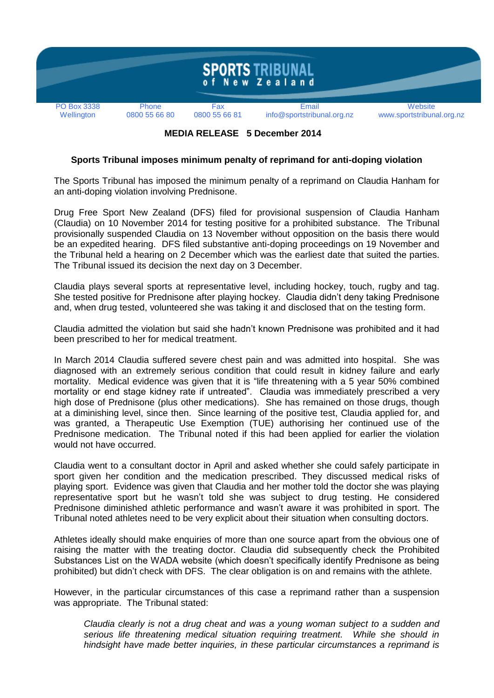

 **MEDIA RELEASE 5 December 2014**

## **Sports Tribunal imposes minimum penalty of reprimand for anti-doping violation**

The Sports Tribunal has imposed the minimum penalty of a reprimand on Claudia Hanham for an anti-doping violation involving Prednisone.

Drug Free Sport New Zealand (DFS) filed for provisional suspension of Claudia Hanham (Claudia) on 10 November 2014 for testing positive for a prohibited substance. The Tribunal provisionally suspended Claudia on 13 November without opposition on the basis there would be an expedited hearing. DFS filed substantive anti-doping proceedings on 19 November and the Tribunal held a hearing on 2 December which was the earliest date that suited the parties. The Tribunal issued its decision the next day on 3 December.

Claudia plays several sports at representative level, including hockey, touch, rugby and tag. She tested positive for Prednisone after playing hockey. Claudia didn't deny taking Prednisone and, when drug tested, volunteered she was taking it and disclosed that on the testing form.

Claudia admitted the violation but said she hadn't known Prednisone was prohibited and it had been prescribed to her for medical treatment.

In March 2014 Claudia suffered severe chest pain and was admitted into hospital. She was diagnosed with an extremely serious condition that could result in kidney failure and early mortality. Medical evidence was given that it is "life threatening with a 5 year 50% combined mortality or end stage kidney rate if untreated". Claudia was immediately prescribed a very high dose of Prednisone (plus other medications). She has remained on those drugs, though at a diminishing level, since then. Since learning of the positive test, Claudia applied for, and was granted, a Therapeutic Use Exemption (TUE) authorising her continued use of the Prednisone medication. The Tribunal noted if this had been applied for earlier the violation would not have occurred.

Claudia went to a consultant doctor in April and asked whether she could safely participate in sport given her condition and the medication prescribed. They discussed medical risks of playing sport. Evidence was given that Claudia and her mother told the doctor she was playing representative sport but he wasn't told she was subject to drug testing. He considered Prednisone diminished athletic performance and wasn't aware it was prohibited in sport. The Tribunal noted athletes need to be very explicit about their situation when consulting doctors.

Athletes ideally should make enquiries of more than one source apart from the obvious one of raising the matter with the treating doctor. Claudia did subsequently check the Prohibited Substances List on the WADA website (which doesn't specifically identify Prednisone as being prohibited) but didn't check with DFS. The clear obligation is on and remains with the athlete.

However, in the particular circumstances of this case a reprimand rather than a suspension was appropriate. The Tribunal stated:

*Claudia clearly is not a drug cheat and was a young woman subject to a sudden and serious life threatening medical situation requiring treatment. While she should in hindsight have made better inquiries, in these particular circumstances a reprimand is*